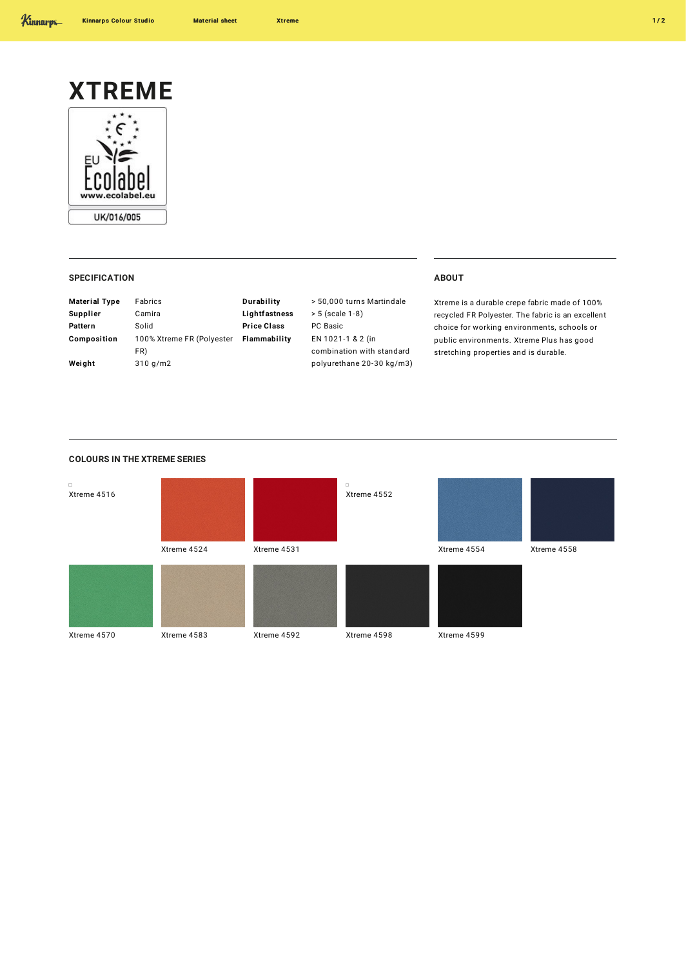

## **SPECIFICATION ABOUT**

| <b>Material Type</b> | Fabrics                   | Durability         | > 50       |
|----------------------|---------------------------|--------------------|------------|
| Supplier             | Camira                    | Lightfastness      | > 5(       |
| Pattern              | Solid                     | <b>Price Class</b> | PC B       |
| Composition          | 100% Xtreme FR (Polyester | Flammability       | <b>EN1</b> |
|                      | FR)                       |                    | com        |
| Weight               | $310$ g/m2                |                    | poly       |
|                      |                           |                    |            |

**Durability** > 50,000 turns Martindale (scale 1-8) **Price Class** PC Basic **Figal** -1 & 2 (in bination with standard urethane 20-30 kg/m3)

Xtreme is a durable crepe fabric made of 100% recycled FR Polyester. The fabric is an excellent choice for working environments, schools or public environments. Xtreme Plus has good stretching properties and is durable.